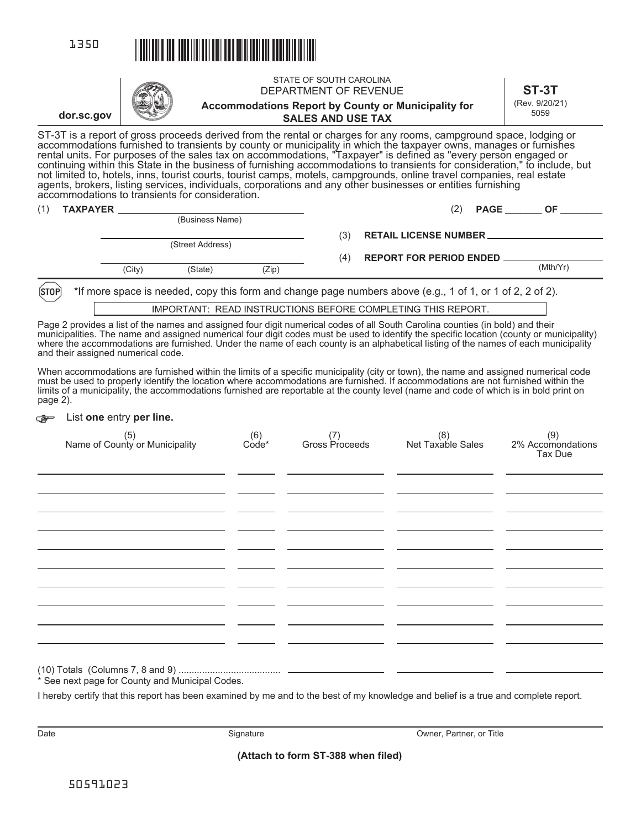



| (1) | <b>TAXPAYER</b> |        | (Business Name)  |       |                                | (2)<br><b>PAGE</b>            | ΟF       |
|-----|-----------------|--------|------------------|-------|--------------------------------|-------------------------------|----------|
|     |                 |        | (Street Address) |       | (3)                            | <b>RETAIL LICENSE NUMBER.</b> |          |
|     |                 |        |                  | (4)   | <b>REPORT FOR PERIOD ENDED</b> |                               |          |
|     |                 | (City) | (State)          | (Zip) |                                |                               | (Mth/Yr) |

 $[STOP]$ \*If more space is needed, copy this form and change page numbers above (e.g., 1 of 1, or 1 of 2, 2 of 2).

IMPORTANT: READ INSTRUCTIONS BEFORE COMPLETING THIS REPORT.

Page 2 provides a list of the names and assigned four digit numerical codes of all South Carolina counties (in bold) and their municipalities. The name and assigned numerical four digit codes must be used to identify the specific location (county or municipality) where the accommodations are furnished. Under the name of each county is an alphabetical listing of the names of each municipality and their assigned numerical code.

When accommodations are furnished within the limits of a specific municipality (city or town), the name and assigned numerical code must be used to properly identify the location where accommodations are furnished. If accommodations are not furnished within the limits of a municipality, the accommodations furnished are reportable at the county level (name and code of which is in bold print on page 2).

## List **one** entry **per line.** cē⇔

| (6) (6)<br>Name of County or Municipality Code*                 |  | (9)<br>2% Accomondations<br>Tax Due |
|-----------------------------------------------------------------|--|-------------------------------------|
|                                                                 |  |                                     |
|                                                                 |  |                                     |
|                                                                 |  |                                     |
|                                                                 |  |                                     |
|                                                                 |  |                                     |
| $\hat{\mathbf{x}}$ Can part page for County and Municipal Cades |  |                                     |

See next page for County and Municipal Codes.

I hereby certify that this report has been examined by me and to the best of my knowledge and belief is a true and complete report.

Date **Signature** Signature Signature **Container Community** Owner, Partner, or Title